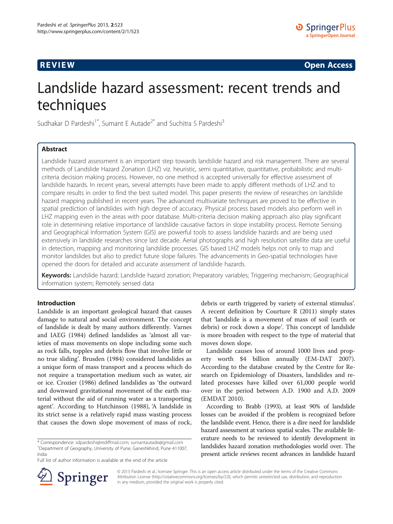**REVIEW REVIEW CONSTRUCTER ACCESS** 

# Landslide hazard assessment: recent trends and techniques

Sudhakar D Pardeshi<sup>1\*</sup>, Sumant E Autade<sup>2\*</sup> and Suchitra S Pardeshi<sup>3</sup>

# Abstract

Landslide hazard assessment is an important step towards landslide hazard and risk management. There are several methods of Landslide Hazard Zonation (LHZ) viz. heuristic, semi quantitative, quantitative, probabilistic and multicriteria decision making process. However, no one method is accepted universally for effective assessment of landslide hazards. In recent years, several attempts have been made to apply different methods of LHZ and to compare results in order to find the best suited model. This paper presents the review of researches on landslide hazard mapping published in recent years. The advanced multivariate techniques are proved to be effective in spatial prediction of landslides with high degree of accuracy. Physical process based models also perform well in LHZ mapping even in the areas with poor database. Multi-criteria decision making approach also play significant role in determining relative importance of landslide causative factors in slope instability process. Remote Sensing and Geographical Information System (GIS) are powerful tools to assess landslide hazards and are being used extensively in landslide researches since last decade. Aerial photographs and high resolution satellite data are useful in detection, mapping and monitoring landslide processes. GIS based LHZ models helps not only to map and monitor landslides but also to predict future slope failures. The advancements in Geo-spatial technologies have opened the doors for detailed and accurate assessment of landslide hazards.

Keywords: Landslide hazard; Landslide hazard zonation; Preparatory variables; Triggering mechanism; Geographical information system; Remotely sensed data

#### Introduction

Landslide is an important geological hazard that causes damage to natural and social environment. The concept of landslide is dealt by many authors differently. Varnes and IAEG [\(1984\)](#page-10-0) defined landslides as 'almost all varieties of mass movements on slope including some such as rock falls, topples and debris flow that involve little or no true sliding'. Brusden [\(1984\)](#page-8-0) considered landslides as a unique form of mass transport and a process which do not require a transportation medium such as water, air or ice. Crozier [\(1986\)](#page-9-0) defined landslides as 'the outward and downward gravitational movement of the earth material without the aid of running water as a transporting agent'. According to Hutchinson [\(1988\)](#page-9-0), 'A landslide in its strict sense is a relatively rapid mass wasting process that causes the down slope movement of mass of rock,

\* Correspondence: [sdpardeshi@rediffmail.com;](mailto:sdpardeshi@rediffmail.com) [sumantautade@gmail.com](mailto:sumantautade@gmail.com) <sup>1</sup> <sup>1</sup>Department of Geography, University of Pune, Ganeshkhind, Pune 411007, India

Full list of author information is available at the end of the article

debris or earth triggered by variety of external stimulus'. A recent definition by Courture R ([2011\)](#page-9-0) simply states that 'landslide is a movement of mass of soil (earth or debris) or rock down a slope'. This concept of landslide is more broaden with respect to the type of material that moves down slope.

Landslide causes loss of around 1000 lives and property worth \$4 billion annually (EM-DAT [2007](#page-9-0)). According to the database created by the Centre for Research on Epidemiology of Disasters, landslides and related processes have killed over 61,000 people world over in the period between A.D. 1900 and A.D. 2009 (EMDAT [2010](#page-9-0)).

According to Brabb [\(1993\)](#page-8-0), at least 90% of landslide losses can be avoided if the problem is recognized before the landslide event. Hence, there is a dire need for landslide hazard assessment at various spatial scales. The available literature needs to be reviewed to identify development in landslides hazard zonation methodologies world over. The present article reviews recent advances in landslide hazard



© 2013 Pardeshi et al.; licensee Springer. This is an open access article distributed under the terms of the Creative Commons Attribution License [\(http://creativecommons.org/licenses/by/2.0\)](http://creativecommons.org/licenses/by/2.0), which permits unrestricted use, distribution, and reproduction in any medium, provided the original work is properly cited.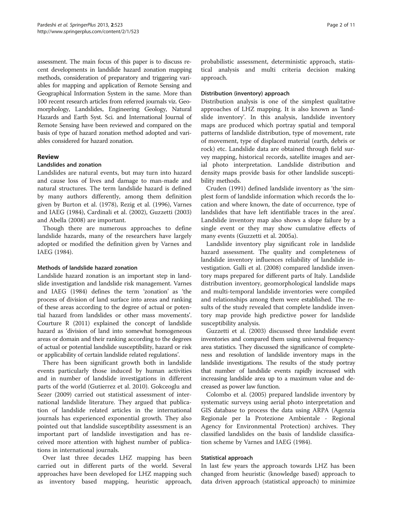assessment. The main focus of this paper is to discuss recent developments in landslide hazard zonation mapping methods, consideration of preparatory and triggering variables for mapping and application of Remote Sensing and Geographical Information System in the same. More than 100 recent research articles from referred journals viz. Geomorphology, Landslides, Engineering Geology, Natural Hazards and Earth Syst. Sci. and International Journal of Remote Sensing have been reviewed and compared on the basis of type of hazard zonation method adopted and variables considered for hazard zonation.

#### Review

# Landslides and zonation

Landslides are natural events, but may turn into hazard and cause loss of lives and damage to man-made and natural structures. The term landslide hazard is defined by many authors differently, among them definition given by Burton et al. ([1978](#page-8-0)), Rezig et al. ([1996](#page-10-0)), Varnes and IAEG [\(1984\)](#page-10-0), Cardinali et al. ([2002](#page-8-0)), Guzzetti ([2003](#page-9-0)) and Abella ([2008](#page-8-0)) are important.

Though there are numerous approaches to define landslide hazards, many of the researchers have largely adopted or modified the definition given by Varnes and IAEG ([1984](#page-10-0)).

#### Methods of landslide hazard zonation

Landslide hazard zonation is an important step in landslide investigation and landslide risk management. Varnes and IAEG ([1984](#page-10-0)) defines the term 'zonation' as 'the process of division of land surface into areas and ranking of these areas according to the degree of actual or potential hazard from landslides or other mass movements'. Courture R ([2011](#page-9-0)) explained the concept of landslide hazard as 'division of land into somewhat homogeneous areas or domain and their ranking according to the degrees of actual or potential landslide susceptibility, hazard or risk or applicability of certain landslide related regulations'.

There has been significant growth both in landslide events particularly those induced by human activities and in number of landslide investigations in different parts of the world (Gutierrez et al. [2010](#page-9-0)). Gokceoglu and Sezer ([2009\)](#page-9-0) carried out statistical assessment of international landslide literature. They argued that publication of landslide related articles in the international journals has experienced exponential growth. They also pointed out that landslide susceptibility assessment is an important part of landslide investigation and has received more attention with highest number of publications in international journals.

Over last three decades LHZ mapping has been carried out in different parts of the world. Several approaches have been developed for LHZ mapping such as inventory based mapping, heuristic approach, probabilistic assessment, deterministic approach, statistical analysis and multi criteria decision making approach.

#### Distribution (inventory) approach

Distribution analysis is one of the simplest qualitative approaches of LHZ mapping. It is also known as 'landslide inventory'. In this analysis, landslide inventory maps are produced which portray spatial and temporal patterns of landslide distribution, type of movement, rate of movement, type of displaced material (earth, debris or rock) etc. Landslide data are obtained through field survey mapping, historical records, satellite images and aerial photo interpretation. Landslide distribution and density maps provide basis for other landslide susceptibility methods.

Cruden ([1991\)](#page-9-0) defined landslide inventory as 'the simplest form of landslide information which records the location and where known, the date of occurrence, type of landslides that have left identifiable traces in the area'. Landslide inventory map also shows a slope failure by a single event or they may show cumulative effects of many events (Guzzetti et al. [2005a](#page-9-0)).

Landslide inventory play significant role in landslide hazard assessment. The quality and completeness of landslide inventory influences reliability of landslide investigation. Galli et al. [\(2008\)](#page-9-0) compared landslide inventory maps prepared for different parts of Italy. Landslide distribution inventory, geomorphological landslide maps and multi-temporal landslide inventories were compiled and relationships among them were established. The results of the study revealed that complete landslide inventory map provide high predictive power for landslide susceptibility analysis.

Guzzetti et al. [\(2003](#page-9-0)) discussed three landslide event inventories and compared them using universal frequencyarea statistics. They discussed the significance of completeness and resolution of landslide inventory maps in the landslide investigations. The results of the study portray that number of landslide events rapidly increased with increasing landslide area up to a maximum value and decreased as power law function.

Colombo et al. [\(2005\)](#page-9-0) prepared landslide inventory by systematic surveys using aerial photo interpretation and GIS database to process the data using ARPA (Agenzia Regionale per la Protezione Ambientale - Regional Agency for Environmental Protection) archives. They classified landslides on the basis of landslide classification scheme by Varnes and IAEG ([1984](#page-10-0)).

#### Statistical approach

In last few years the approach towards LHZ has been changed from heuristic (knowledge based) approach to data driven approach (statistical approach) to minimize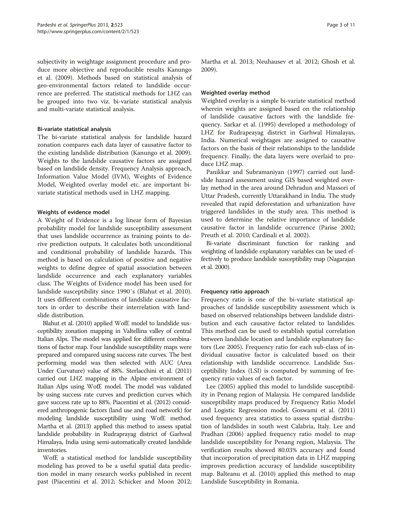subjectivity in weightage assignment procedure and produce more objective and reproducible results Kanungo et al. [\(2009\)](#page-9-0). Methods based on statistical analysis of geo-environmental factors related to landslide occurrence are preferred. The statistical methods for LHZ can be grouped into two viz. bi-variate statistical analysis and multi-variate statistical analysis.

#### Bi-variate statistical analysis

The bi-variate statistical analysis for landslide hazard zonation compares each data layer of causative factor to the existing landslide distribution (Kanungo et al. [2009](#page-9-0)). Weights to the landslide causative factors are assigned based on landslide density. Frequency Analysis approach, Information Value Model (IVM), Weights of Evidence Model, Weighted overlay model etc. are important bivariate statistical methods used in LHZ mapping.

## Weights of evidence model

A Weight of Evidence is a log linear form of Bayesian probability model for landslide susceptibility assessment that uses landslide occurrence as training points to derive prediction outputs. It calculates both unconditional and conditional probability of landslide hazards. This method is based on calculation of positive and negative weights to define degree of spatial association between landslide occurrence and each explanatory variables class. The Weights of Evidence model has been used for landslide susceptibility since 1990′s (Blahut et al. [2010](#page-8-0)). It uses different combinations of landslide causative factors in order to describe their interrelation with landslide distribution.

Blahut et al. ([2010](#page-8-0)) applied WofE model to landslide susceptibility zonation mapping in Valtellina valley of central Italian Alps. The model was applied for different combinations of factor map. Four landslide susceptibility maps were prepared and compared using success rate curves. The best performing model was then selected with AUC (Area Under Curvature) value of 88%. Sterlacchini et al. [\(2011](#page-10-0)) carried out LHZ mapping in the Alpine environment of Italian Alps using WofE model. The model was validated by using success rate curves and prediction curves which gave success rate up to 88%. Piacentini et al. [\(2012\)](#page-10-0) considered anthropogenic factors (land use and road network) for modeling landslide susceptibility using WofE method. Martha et al. [\(2013](#page-10-0)) applied this method to assess spatial landslide probability in Rudraprayag district of Garhwal Himalaya, India using semi-automatically created landslide inventories.

WofE a statistical method for landslide susceptibility modeling has proved to be a useful spatial data prediction model in many research works published in recent past (Piacentini et al. [2012;](#page-10-0) Schicker and Moon [2012](#page-10-0); Martha et al. [2013;](#page-10-0) Neuhausev et al. [2012](#page-10-0); Ghosh et al. [2009](#page-9-0)).

#### Weighted overlay method

Weighted overlay is a simple bi-variate statistical method wherein weights are assigned based on the relationship of landslide causative factors with the landslide frequency. Sarkar et al. [\(1995](#page-10-0)) developed a methodology of LHZ for Rudrapeayag district in Garhwal Himalayas, India. Numerical weightages are assigned to causative factors on the basis of their relationships to the landslide frequency. Finally, the data layers were overlaid to produce LHZ map.

Panikkar and Subramaniyan ([1997](#page-10-0)) carried out landslide hazard assessment using GIS based weighted overlay method in the area around Dehradun and Massori of Uttar Pradesh, currently Uttarakhand in India. The study revealed that rapid deforestation and urbanization have triggered landslides in the study area. This method is used to determine the relative importance of landslide causative factor in landslide occurrence (Parise [2002](#page-10-0); Preuth et al. [2010](#page-10-0); Cardinali et al. [2002\)](#page-8-0).

Bi-variate discriminant function for ranking and weighting of landslide explanatory variables can be used effectively to produce landslide susceptibility map (Nagarajan et al. [2000\)](#page-10-0).

## Frequency ratio approach

Frequency ratio is one of the bi-variate statistical approaches of landslide susceptibility assessment which is based on observed relationships between landslide distribution and each causative factor related to landslides. This method can be used to establish spatial correlation between landslide location and landslide explanatory factors (Lee [2005\)](#page-9-0). Frequency ratio for each sub-class of individual causative factor is calculated based on their relationship with landslide occurrence. Landslide Susceptibility Index (LSI) is computed by summing of frequency ratio values of each factor.

Lee ([2005](#page-9-0)) applied this model to landslide susceptibility in Penang region of Malaysia. He compared landslide susceptibility maps produced by Frequency Ratio Model and Logistic Regression model. Goswami et al. ([2011](#page-9-0)) used frequency area statistics to assess spatial distribution of landslides in south west Calabria, Italy. Lee and Pradhan ([2006](#page-10-0)) applied frequency ratio model to map landslide susceptibility for Penang region, Malaysia. The verification results showed 80.03% accuracy and found that incorporation of precipitation data in LHZ mapping improves prediction accuracy of landslide susceptibility map. Balteanu et al. [\(2010\)](#page-8-0) applied this method to map Landslide Susceptibility in Romania.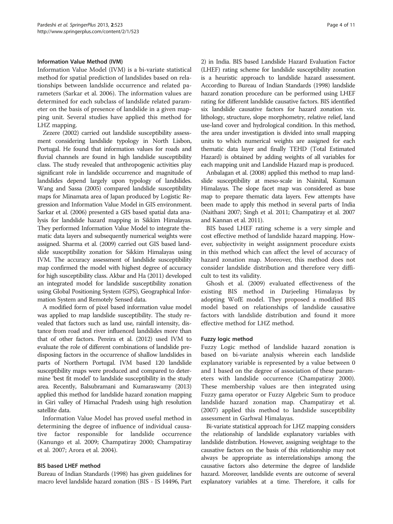#### Information Value Method (IVM)

Information Value Model (IVM) is a bi-variate statistical method for spatial prediction of landslides based on relationships between landslide occurrence and related parameters (Sarkar et al. [2006\)](#page-10-0). The information values are determined for each subclass of landslide related parameter on the basis of presence of landslide in a given mapping unit. Several studies have applied this method for LHZ mapping.

Zezere ([2002\)](#page-10-0) carried out landslide susceptibility assessment considering landslide typology in North Lisbon, Portugal. He found that information values for roads and fluvial channels are found in high landslide susceptibility class. The study revealed that anthropogenic activities play significant role in landslide occurrence and magnitude of landslides depend largely upon typology of landslides. Wang and Sassa ([2005](#page-10-0)) compared landslide susceptibility maps for Minamata area of Japan produced by Logistic Regression and Information Value Model in GIS environment. Sarkar et al. ([2006](#page-10-0)) presented a GIS based spatial data analysis for landslide hazard mapping in Sikkim Himalayas. They performed Information Value Model to integrate thematic data layers and subsequently numerical weights were assigned. Sharma et al. [\(2009\)](#page-10-0) carried out GIS based landslide susceptibility zonation for Sikkim Himalayas using IVM. The accuracy assessment of landslide susceptibility map confirmed the model with highest degree of accuracy for high susceptibility class. Akbar and Ha ([2011](#page-8-0)) developed an integrated model for landslide susceptibility zonation using Global Positioning System (GPS), Geographical Information System and Remotely Sensed data.

A modified form of pixel based information value model was applied to map landslide susceptibility. The study revealed that factors such as land use, rainfall intensity, distance from road and river influenced landslides more than that of other factors. Pereira et al. [\(2012](#page-10-0)) used IVM to evaluate the role of different combinations of landslide predisposing factors in the occurrence of shallow landslides in parts of Northern Portugal. IVM based 120 landslide susceptibility maps were produced and compared to determine 'best fit model' to landslide susceptibility in the study area. Recently, Balsubramani and Kumaraswamy [\(2013](#page-8-0)) applied this method for landslide hazard zonation mapping in Giri valley of Himachal Pradesh using high resolution satellite data.

Information Value Model has proved useful method in determining the degree of influence of individual causative factor responsible for landslide occurrence (Kanungo et al. [2009;](#page-9-0) Champatiray [2000](#page-8-0); Champatiray et al. [2007;](#page-8-0) Arora et al. [2004\)](#page-8-0).

#### BIS based LHEF method

Bureau of Indian Standards ([1998\)](#page-8-0) has given guidelines for macro level landslide hazard zonation (BIS - IS 14496, Part 2) in India. BIS based Landslide Hazard Evaluation Factor (LHEF) rating scheme for landslide susceptibility zonation is a heuristic approach to landslide hazard assessment. According to Bureau of Indian Standards [\(1998](#page-8-0)) landslide hazard zonation procedure can be performed using LHEF rating for different landslide causative factors. BIS identified six landslide causative factors for hazard zonation viz. lithology, structure, slope morphometry, relative relief, land use-land cover and hydrological condition. In this method, the area under investigation is divided into small mapping units to which numerical weights are assigned for each thematic data layer and finally TEHD (Total Estimated Hazard) is obtained by adding weights of all variables for each mapping unit and Landslide Hazard map is produced.

Anbalagan et al. ([2008](#page-8-0)) applied this method to map landslide susceptibility at meso-scale in Nainital, Kumaun Himalayas. The slope facet map was considered as base map to prepare thematic data layers. Few attempts have been made to apply this method in several parts of India (Naithani [2007;](#page-10-0) Singh et al. [2011](#page-10-0); Champatiray et al. [2007](#page-8-0) and Kannan et al. [2011\)](#page-9-0).

BIS based LHEF rating scheme is a very simple and cost effective method of landslide hazard mapping. However, subjectivity in weight assignment procedure exists in this method which can affect the level of accuracy of hazard zonation map. Moreover, this method does not consider landslide distribution and therefore very difficult to test its validity.

Ghosh et al. [\(2009\)](#page-9-0) evaluated effectiveness of the existing BIS method in Darjeeling Himalayas by adopting WofE model. They proposed a modified BIS model based on relationships of landslide causative factors with landslide distribution and found it more effective method for LHZ method.

## Fuzzy logic method

Fuzzy Logic method of landslide hazard zonation is based on bi-variate analysis wherein each landslide explanatory variable is represented by a value between 0 and 1 based on the degree of association of these parameters with landslide occurrence (Champatiray [2000](#page-8-0)). These membership values are then integrated using Fuzzy gama operator or Fuzzy Algebric Sum to produce landslide hazard zonation map. Champatiray et al. ([2007\)](#page-8-0) applied this method to landslide susceptibility assessment in Garhwal Himalayas.

Bi-variate statistical approach for LHZ mapping considers the relationship of landslide explanatory variables with landslide distribution. However, assigning weightage to the causative factors on the basis of this relationship may not always be appropriate as interrelationships among the causative factors also determine the degree of landslide hazard. Moreover, landslide events are outcome of several explanatory variables at a time. Therefore, it calls for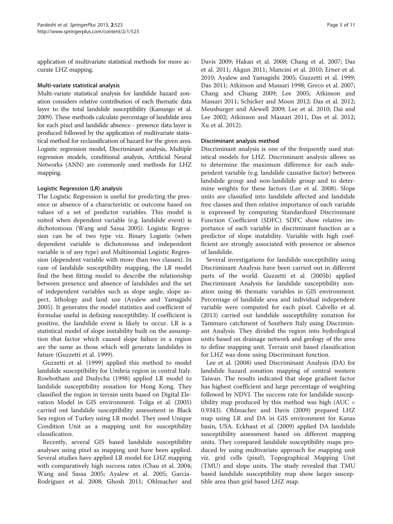application of multivariate statistical methods for more accurate LHZ mapping.

#### Multi-variate statistical analysis

Multi-variate statistical analysis for landslide hazard zonation considers relative contribution of each thematic data layer to the total landslide susceptibility (Kanungo et al. [2009\)](#page-9-0). These methods calculate percentage of landslide area for each pixel and landslide absence - presence data layer is produced followed by the application of multivariate statistical method for reclassification of hazard for the given area. Logistic regression model, Discriminant analysis, Multiple regression models, conditional analysis, Artificial Neural Networks (ANN) are commonly used methods for LHZ mapping.

# Logistic Regression (LR) analysis

The Logistic Regression is useful for predicting the presence or absence of a characteristic or outcome based on values of a set of predictor variables. This model is suited when dependent variable (e.g. landslide event) is dichotomous (Wang and Sassa [2005](#page-10-0)). Logistic Regression can be of two type viz. Binary Logistic (when dependent variable is dichotomous and independent variable is of any type) and Multinomial Logistic Regression (dependent variable with more than two classes). In case of landslide susceptibility mapping, the LR model find the best fitting model to describe the relationship between presence and absence of landslides and the set of independent variables such as slope angle, slope aspect, lithology and land use (Ayalew and Yamagishi [2005](#page-8-0)). It generates the model statistics and coefficient of formulae useful in defining susceptibility. If coefficient is positive, the landslide event is likely to occur. LR is a statistical model of slope instability built on the assumption that factor which caused slope failure in a region are the same as those which will generate landslides in future (Guzzetti et al. [1999](#page-9-0)).

Guzzetti et al. ([1999](#page-9-0)) applied this method to model landslide susceptibility for Umbria region in central Italy. Rowbotham and Dudycha [\(1998\)](#page-10-0) applied LR model to landslide susceptibility zonation for Hong Kong. They classified the region in terrain units based on Digital Elevation Model in GIS environment. Tolga et al. ([2005](#page-10-0)) carried out landslide susceptibility assessment in Black Sea region of Turkey using LR model. They used Unique Condition Unit as a mapping unit for susceptibility classification.

Recently, several GIS based landslide susceptibility analyses using pixel as mapping unit have been applied. Several studies have applied LR model for LHZ mapping with comparatively high success rates (Chau et al. [2004](#page-9-0); Wang and Sassa [2005](#page-10-0); Ayalew et al. [2005;](#page-8-0) Garcia-Rodriguez et al. [2008](#page-9-0); Ghosh [2011;](#page-9-0) Ohlmacher and Davis [2009](#page-10-0); Hakan et al. [2008;](#page-9-0) Chang et al. [2007;](#page-9-0) Das et al. [2011](#page-9-0); Akgun [2011;](#page-8-0) Mancini et al. [2010;](#page-10-0) Erner et al. [2010](#page-9-0); Ayalew and Yamagishi [2005;](#page-8-0) Guzzetti et al. [1999](#page-9-0); Das [2011;](#page-9-0) Atkinson and Massari [1998;](#page-8-0) Greco et al. [2007](#page-9-0); Chang and Chiang [2009;](#page-8-0) Lee [2005;](#page-9-0) Atkinson and Massari [2011](#page-8-0); Schicker and Moon [2012](#page-10-0); Das et al. [2012](#page-9-0); Meusburger and Alewell [2009;](#page-10-0) Lee et al. [2010](#page-10-0); Dai and Lee [2002;](#page-9-0) Atkinson and Massari [2011,](#page-8-0) Das et al. [2012](#page-9-0); Xu et al. [2012\)](#page-10-0).

# Discriminant analysis method

Discriminant analysis is one of the frequently used statistical models for LHZ. Discriminant analysis allows us to determine the maximum difference for each independent variable (e.g. landslide causative factor) between landslide group and non-landslide group and to determine weights for these factors (Lee et al. [2008](#page-10-0)). Slope units are classified into landslide affected and landslide free classes and then relative importance of each variable is expressed by computing Standardized Discriminant Function Coefficient (SDFC). SDFC show relative importance of each variable in discriminant function as a predictor of slope instability. Variable with high coefficient are strongly associated with presence or absence of landslide.

Several investigations for landslide susceptibility using Discriminant Analysis have been carried out in different parts of the world. Guzzetti et al. [\(2005b\)](#page-9-0) applied Discriminant Analysis for landslide susceptibility zonation using 46 thematic variables in GIS environment. Percentage of landslide area and individual independent variable were computed for each pixel. Calvello et al. ([2013\)](#page-8-0) carried out landslide susceptibility zonation for Tammaro catchment of Southern Italy using Discriminant Analysis. They divided the region into hydrological units based on drainage network and geology of the area to define mapping unit. Terrain unit based classification for LHZ was done using Discriminant function.

Lee et al. ([2008](#page-10-0)) used Discriminant Analysis (DA) for landslide hazard zonation mapping of central western Taiwan. The results indicated that slope gradient factor has highest coefficient and large percentage of weighting followed by NDVI. The success rate for landslide susceptibility map produced by this method was high (AUC = 0.9343). Ohlmacher and Davis ([2009\)](#page-10-0) prepared LHZ map using LR and DA in GIS environment for Kanas basin, USA. Eckhaut et al. [\(2009](#page-9-0)) applied DA landslide susceptibility assessment based on different mapping units. They compared landslide susceptibility maps produced by using multivariate approach for mapping unit viz. grid cells (pixel), Topographical Mapping Unit (TMU) and slope units. The study revealed that TMU based landslide susceptibility map show larger susceptible area than grid based LHZ map.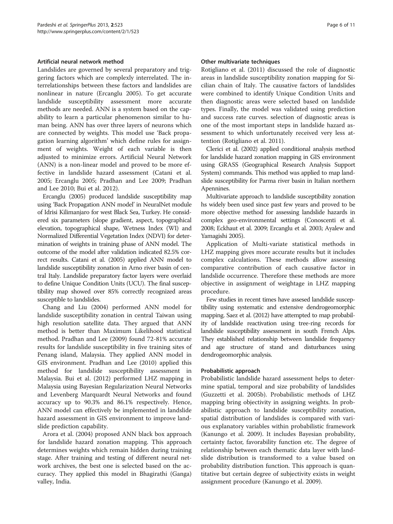## Artificial neural network method

Landslides are governed by several preparatory and triggering factors which are complexly interrelated. The interrelationships between these factors and landslides are nonlinear in nature (Ercanglu [2005\)](#page-9-0). To get accurate landslide susceptibility assessment more accurate methods are needed. ANN is a system based on the capability to learn a particular phenomenon similar to human being. ANN has over three layers of neurons which are connected by weights. This model use 'Back propagation learning algorithm' which define rules for assignment of weights. Weight of each variable is then adjusted to minimize errors. Artificial Neural Network (ANN) is a non-linear model and proved to be more effective in landslide hazard assessment (Catani et al. [2005](#page-8-0); Ercanglu [2005](#page-9-0); Pradhan and Lee [2009](#page-10-0); Pradhan and Lee [2010;](#page-10-0) Bui et al. [2012](#page-8-0)).

Ercanglu ([2005](#page-9-0)) produced landslide susceptibility map using 'Back Propagation ANN model' in NeuralNet module of Idrisi Kilimanjaro for west Black Sea, Turkey. He considered six parameters (slope gradient, aspect, topographical elevation, topographical shape, Wetness Index (WI) and Normalized Differential Vegetation Index (NDVI) for determination of weights in training phase of ANN model. The outcome of the model after validation indicated 82.5% correct results. Catani et al. [\(2005](#page-8-0)) applied ANN model to landslide susceptibility zonation in Arno river basin of central Italy. Landslide preparatory factor layers were overlaid to define Unique Condition Units (UCU). The final susceptibility map showed over 85% correctly recognized areas susceptible to landslides.

Chang and Liu [\(2004\)](#page-8-0) performed ANN model for landslide susceptibility zonation in central Taiwan using high resolution satellite data. They argued that ANN method is better than Maximum Likelihood statistical method. Pradhan and Lee ([2009](#page-10-0)) found 72-81% accurate results for landslide susceptibility in five training sites of Penang island, Malaysia. They applied ANN model in GIS environment. Pradhan and Lee ([2010](#page-10-0)) applied this method for landslide susceptibility assessment in Malaysia. Bui et al. [\(2012\)](#page-8-0) performed LHZ mapping in Malaysia using Bayesian Regularization Neural Networks and Levenberg Marquardt Neural Networks and found accuracy up to 90.3% and 86.1% respectively. Hence, ANN model can effectively be implemented in landslide hazard assessment in GIS environment to improve landslide prediction capability.

Arora et al. ([2004\)](#page-8-0) proposed ANN black box approach for landslide hazard zonation mapping. This approach determines weights which remain hidden during training stage. After training and testing of different neural network archives, the best one is selected based on the accuracy. They applied this model in Bhagirathi (Ganga) valley, India.

#### Other multivariate techniques

Rotigliano et al. ([2011](#page-10-0)) discussed the role of diagnostic areas in landslide susceptibility zonation mapping for Sicilian chain of Italy. The causative factors of landslides were combined to identify Unique Condition Units and then diagnostic areas were selected based on landslide types. Finally, the model was validated using prediction and success rate curves. selection of diagnostic areas is one of the most important steps in landslide hazard assessment to which unfortunately received very less attention (Rotigliano et al. [2011\)](#page-10-0).

Clerici et al. ([2002\)](#page-9-0) applied conditional analysis method for landslide hazard zonation mapping in GIS environment using GRASS (Geographical Research Analysis Support System) commands. This method was applied to map landslide susceptibility for Parma river basin in Italian northern Apennines.

Multivariate approach to landslide susceptibility zonation hs widely been used since past few years and proved to be more objective method for assessing landslide hazards in complex geo-environmental settings (Conoscenti et al. [2008;](#page-9-0) Eckhaut et al. [2009](#page-9-0); Ercanglu et al. [2003](#page-9-0); Ayalew and Yamagishi [2005\)](#page-8-0).

Application of Multi-variate statistical methods in LHZ mapping gives more accurate results but it includes complex calculations. These methods allow assessing comparative contribution of each causative factor in landslide occurrence. Therefore these methods are more objective in assignment of weightage in LHZ mapping procedure.

Few studies in recent times have assesed landslide susceptibility using systematic and extensive dendrogeomorphic mapping. Saez et al. ([2012](#page-10-0)) have attempted to map probability of landslide reactivation using tree-ring records for landslide susceptibility assessment in south French Alps. They established relationship between landslide frequency and age structure of stand and disturbances using dendrogeomorphic analysis.

# Probabilistic approach

Probabilistic landslide hazard assessment helps to determine spatial, temporal and size probability of landslides (Guzzetti et al. [2005b\)](#page-9-0). Probabilistic methods of LHZ mapping bring objectivity in assigning weights. In probabilistic approach to landslide susceptibility zonation, spatial distribution of landslides is compared with various explanatory variables within probabilistic framework (Kanungo et al. [2009](#page-9-0)). It includes Bayesian probability, certainty factor, favorability function etc. The degree of relationship between each thematic data layer with landslide distribution is transformed to a value based on probability distribution function. This approach is quantitative but certain degree of subjectivity exists in weight assignment procedure (Kanungo et al. [2009](#page-9-0)).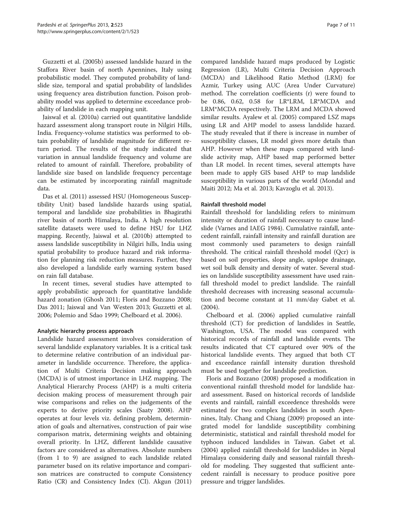Guzzetti et al. ([2005b](#page-9-0)) assessed landslide hazard in the Staffora River basin of north Apennines, Italy using probabilistic model. They computed probability of landslide size, temporal and spatial probability of landslides using frequency area distribution function. Poison probability model was applied to determine exceedance probability of landslide in each mapping unit.

Jaiswal et al. ([2010a\)](#page-9-0) carried out quantitative landslide hazard assessment along transport route in Nilgiri Hills, India. Frequency-volume statistics was performed to obtain probability of landslide magnitude for different return period. The results of the study indicated that variation in annual landslide frequency and volume are related to amount of rainfall. Therefore, probability of landslide size based on landslide frequency percentage can be estimated by incorporating rainfall magnitude data.

Das et al. ([2011](#page-9-0)) assessed HSU (Homogeneous Susceptibility Unit) based landslide hazards using spatial, temporal and landslide size probabilities in Bhagirathi river basin of north Himalaya, India. A high resolution satellite datasets were used to define HSU for LHZ mapping. Recently, Jaiswal et al. [\(2010b\)](#page-9-0) attempted to assess landslide susceptibility in Nilgiri hills, India using spatial probability to produce hazard and risk information for planning risk reduction measures. Further, they also developed a landslide early warning system based on rain fall database.

In recent times, several studies have attempted to apply probabilistic approach for quantitative landslide hazard zonation (Ghosh [2011;](#page-9-0) Floris and Bozzano [2008](#page-9-0); Das [2011;](#page-9-0) Jaiswal and Van Westen [2013;](#page-9-0) Guzzetti et al. [2006](#page-9-0); Polemio and Sdao [1999](#page-10-0); Chelboard et al. [2006\)](#page-9-0).

## Analytic hierarchy process approach

Landslide hazard assessment involves consideration of several landslide explanatory variables. It is a critical task to determine relative contribution of an individual parameter in landslide occurrence. Therefore, the application of Multi Criteria Decision making approach (MCDA) is of utmost importance in LHZ mapping. The Analytical Hierarchy Process (AHP) is a multi criteria decision making process of measurement through pair wise comparisons and relies on the judgements of the experts to derive priority scales (Saaty [2008](#page-10-0)). AHP operates at four levels viz. defining problem, determination of goals and alternatives, construction of pair wise comparison matrix, determining weights and obtaining overall priority. In LHZ, different landslide causative factors are considered as alternatives. Absolute numbers (from 1 to 9) are assigned to each landslide related parameter based on its relative importance and comparison matrices are constructed to compute Consistency Ratio (CR) and Consistency Index (CI). Akgun ([2011](#page-8-0))

compared landslide hazard maps produced by Logistic Regression (LR), Multi Criteria Decision Approach (MCDA) and Likelihood Ratio Method (LRM) for Azmir, Turkey using AUC (Area Under Curvature) method. The correlation coefficients (r) were found to be 0.86, 0.62, 0.58 for LR\*LRM, LR\*MCDA and LRM\*MCDA respectively. The LRM and MCDA showed similar results. Ayalew et al. [\(2005\)](#page-8-0) compared LSZ maps using LR and AHP model to assess landslide hazard. The study revealed that if there is increase in number of susceptibility classes, LR model gives more details than AHP. However when these maps compared with landslide activity map, AHP based map performed better than LR model. In recent times, several attempts have been made to apply GIS based AHP to map landslide susceptibility in various parts of the world (Mondal and Maiti [2012](#page-10-0); Ma et al. [2013;](#page-10-0) Kavzoglu et al. [2013\)](#page-9-0).

#### Rainfall threshold model

Rainfall threshold for landsliding refers to minimum intensity or duration of rainfall necessary to cause landslide (Varnes and IAEG [1984\)](#page-10-0). Cumulative rainfall, antecedent rainfall, rainfall intensity and rainfall duration are most commonly used parameters to design rainfall threshold. The critical rainfall threshold model (Qcr) is based on soil properties, slope angle, upslope drainage, wet soil bulk density and density of water. Several studies on landslide susceptibility assessment have used rainfall threshold model to predict landslide. The rainfall threshold decreases with increasing seasonal accumulation and become constant at 11 mm/day Gabet et al. ([2004\)](#page-9-0).

Chelboard et al. ([2006\)](#page-9-0) applied cumulative rainfall threshold (CT) for prediction of landslides in Seattle, Washington, USA. The model was compared with historical records of rainfall and landslide events. The results indicated that CT captured over 90% of the historical landslide events. They argued that both CT and exceedance rainfall intensity duration threshold must be used together for landslide prediction.

Floris and Bozzano [\(2008](#page-9-0)) proposed a modification in conventional rainfall threshold model for landslide hazard assessment. Based on historical records of landslide events and rainfall, rainfall exceedence thresholds were estimated for two complex landslides in south Apennines, Italy. Chang and Chiang [\(2009\)](#page-8-0) proposed an integrated model for landslide susceptibility combining deterministic, statistical and rainfall threshold model for typhoon induced landslides in Taiwan. Gabet et al. ([2004\)](#page-9-0) applied rainfall threshold for landslides in Nepal Himalaya considering daily and seasonal rainfall threshold for modeling. They suggested that sufficient antecedent rainfall is necessary to produce positive pore pressure and trigger landslides.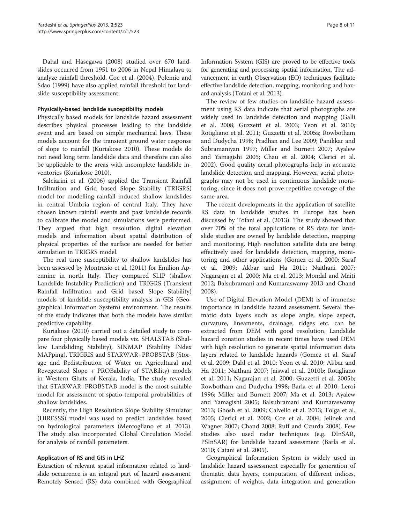Dahal and Hasegawa [\(2008\)](#page-9-0) studied over 670 landslides occurred from 1951 to 2006 in Nepal Himalaya to analyze rainfall threshold. Coe et al. ([2004](#page-9-0)), Polemio and Sdao ([1999](#page-10-0)) have also applied rainfall threshold for landslide susceptibility assessment.

## Physically-based landslide susceptibility models

Physically based models for landslide hazard assessment describes physical processes leading to the landslide event and are based on simple mechanical laws. These models account for the transient ground water response of slope to rainfall (Kuriakose [2010](#page-9-0)). These models do not need long term landslide data and therefore can also be applicable to the areas with incomplete landslide inventories (Kuriakose [2010](#page-9-0)).

Salciarini et al. [\(2006](#page-10-0)) applied the Transient Rainfall Infiltration and Grid based Slope Stability (TRIGRS) model for modelling rainfall induced shallow landslides in central Umbria region of central Italy. They have chosen known rainfall events and past landslide records to calibrate the model and simulations were performed. They argued that high resolution digital elevation models and information about spatial distribution of physical properties of the surface are needed for better simulation in TRIGRS model.

The real time susceptibility to shallow landslides has been assessed by Montrasio et al. [\(2011](#page-10-0)) for Emilion Apennine in north Italy. They compared SLIP (shallow Landslide Instability Prediction) and TRIGRS (Transient Rainfall Infiltration and Grid based Slope Stability) models of landslide susceptibility analysis in GIS (Geographical Information System) environment. The results of the study indicates that both the models have similar predictive capability.

Kuriakose [\(2010\)](#page-9-0) carried out a detailed study to compare four physically based models viz. SHALSTAB (Shallow Landsliding Stability), SINMAP (Stability INdex MAPping), TRIGRIS and STARWAR+PROBSTAB (Storage and Redistribution of Water on Agricultural and Revegetated Slope + PROBability of STABility) models in Western Ghats of Kerala, India. The study revealed that STARWAR+PROBSTAB model is the most suitable model for assessment of spatio-temporal probabilities of shallow landslides.

Recently, the High Resolution Slope Stability Simulator (HIRESSS) model was used to predict landslides based on hydrological parameters (Mercogliano et al. [2013](#page-10-0)). The study also incorporated Global Circulation Model for analysis of rainfall parameters.

#### Application of RS and GIS in LHZ

Extraction of relevant spatial information related to landslide occurrence is an integral part of hazard assessment. Remotely Sensed (RS) data combined with Geographical

Information System (GIS) are proved to be effective tools for generating and processing spatial information. The advancement in earth Observation (EO) techniques facilitate effective landslide detection, mapping, monitoring and hazard analysis (Tofani et al. [2013\)](#page-10-0).

The review of few studies on landslide hazard assessment using RS data indicate that aerial photographs are widely used in landslide detection and mapping (Galli et al. [2008;](#page-9-0) Guzzetti et al. [2003;](#page-9-0) Yeon et al. [2010](#page-10-0); Rotigliano et al. [2011;](#page-10-0) Guzzetti et al. [2005a;](#page-9-0) Rowbotham and Dudycha [1998;](#page-10-0) Pradhan and Lee [2009](#page-10-0); Panikkar and Subramaniyan [1997;](#page-10-0) Miller and Burnett [2007;](#page-10-0) Ayalew and Yamagishi [2005](#page-8-0); Chau et al. [2004;](#page-9-0) Clerici et al. [2002](#page-9-0)). Good quality aerial photographs help in accurate landslide detection and mapping. However, aerial photographs may not be used in continuous landslide monitoring, since it does not prove repetitive coverage of the same area.

The recent developments in the application of satellite RS data in landslide studies in Europe has been discussed by Tofani et al. ([2013](#page-10-0)). The study showed that over 70% of the total applications of RS data for landslide studies are owned by landslide detection, mapping and monitoring. High resolution satellite data are being effectively used for landslide detection, mapping, monitoring and other applications (Gomez et al. [2000;](#page-9-0) Saraf et al. [2009](#page-10-0); Akbar and Ha [2011](#page-8-0); Naithani [2007](#page-10-0); Nagarajan et al. [2000](#page-10-0); Ma et al. [2013;](#page-10-0) Mondal and Maiti [2012](#page-10-0); Balsubramani and Kumaraswamy [2013](#page-8-0) and Chand [2008](#page-8-0)).

Use of Digital Elevation Model (DEM) is of immense importance in landslide hazard assessment. Several thematic data layers such as slope angle, slope aspect, curvature, lineaments, drainage, ridges etc. can be extracted from DEM with good resolution. Landslide hazard zonation studies in recent times have used DEM with high resolution to generate spatial information data layers related to landslide hazards (Gomez et al. Saraf et al. [2009](#page-10-0); Dahl et al. [2010;](#page-9-0) Yeon et al. [2010](#page-10-0); Akbar and Ha [2011](#page-8-0); Naithani [2007;](#page-10-0) Jaiswal et al. [2010b](#page-9-0); Rotigliano et al. [2011;](#page-10-0) Nagarajan et al. [2000](#page-10-0); Guzzetti et al. [2005b](#page-9-0); Rowbotham and Dudycha [1998](#page-10-0); Barla et al. [2010](#page-8-0); Leroi [1996](#page-10-0); Miller and Burnett [2007;](#page-10-0) Ma et al. [2013;](#page-10-0) Ayalew and Yamagishi [2005;](#page-8-0) Balsubramani and Kumaraswamy [2013](#page-8-0); Ghosh et al. [2009;](#page-9-0) Calvello et al. [2013;](#page-8-0) Tolga et al. [2005](#page-10-0); Clerici et al. [2002;](#page-9-0) Coe et al. [2004](#page-9-0); Jelinek and Wagner [2007](#page-9-0); Chand [2008](#page-8-0); Ruff and Czurda [2008](#page-10-0)). Few studies also used radar techniques (e.g. DInSAR, PSInSAR) for landslide hazard assessment (Barla et al. [2010](#page-8-0); Catani et al. [2005](#page-8-0)).

Geographical Information System is widely used in landslide hazard assessment especially for generation of thematic data layers, computation of different indices, assignment of weights, data integration and generation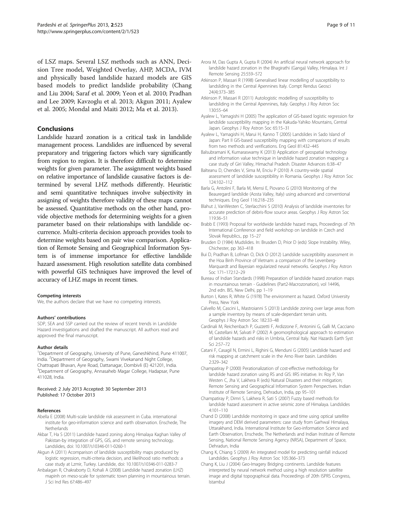<span id="page-8-0"></span>of LSZ maps. Several LSZ methods such as ANN, Decision Tree model, Weighted Overlay, AHP, MCDA, IVM and physically based landslide hazard models are GIS based models to predict landslide probability (Chang and Liu 2004; Saraf et al. [2009;](#page-10-0) Yeon et al. [2010;](#page-10-0) Pradhan and Lee [2009;](#page-10-0) Kavzoglu et al. [2013](#page-9-0); Akgun 2011; Ayalew et al. 2005; Mondal and Maiti [2012](#page-10-0); Ma et al. [2013\)](#page-10-0).

#### Conclusions

Landslide hazard zonation is a critical task in landslide management process. Landslides are influenced by several preparatory and triggering factors which vary significantly from region to region. It is therefore difficult to determine weights for given parameter. The assignment weights based on relative importance of landslide causative factors is determined by several LHZ methods differently. Heuristic and semi quantitative techniques involve subjectivity in assigning of weights therefore validity of these maps cannot be assessed. Quantitative methods on the other hand, provide objective methods for determining weights for a given parameter based on their relationships with landslide occurrence. Multi-criteria decision approach provides tools to determine weights based on pair wise comparison. Application of Remote Sensing and Geographical Information System is of immense importance for effective landslide hazard assessment. High resolution satellite data combined with powerful GIS techniques have improved the level of accuracy of LHZ maps in recent times.

#### Competing interests

We, the authors declare that we have no competing interests.

#### Authors' contributions

SDP, SEA and SSP carried out the review of recent trends in Landslide Hazard investigations and drafted the manuscript. All authors read and approved the final manuscript.

#### Author details

<sup>1</sup>Department of Geography, University of Pune, Ganeshkhind, Pune 411007, India. <sup>2</sup>Department of Geography, Swami Vivekanand Night College, Chattrapati Bhavan, Ayre Road, Dattanagar, Dombivli (E) 421201, India. <sup>3</sup>Department of Geography, Annasaheb Magar College, Hadapsar, Pune 411028, India.

#### Received: 2 July 2013 Accepted: 30 September 2013 Published: 17 October 2013

#### References

- Abella E (2008) Multi-scale landslide risk assessment in Cuba. international institute for geo-information science and earth observation. Enschede, The Netherlands
- Akbar T, Ha S (2011) Landslide hazard zoning along Himalaya Kaghan Valley of Pakistan-by integration of GPS, GIS, and remote sensing technology. Landslides, doi: 10.1007/s10346-011-0260-1
- Akgun A (2011) Acomparison of landslide susceptibility maps produced by logistic regression, multi-criteria decision, and likelihood ratio methods: a case study at Lzmir, Turkey. Landslide, doi: 10.1007/s10346-011-0283-7
- Anbalagan R, Chakraborty D, Kohali A (2008) Landslide hazard zonation (LHZ) mapinh on meso-scale for systematic town planning in mountainous terrain. J Sci Ind Res 67:486–497
- Arora M, Das Gupta A, Gupta R (2004) An artificial neural network approach for landslide hazard zonation in the Bhagirathi (Ganga) Valley, Himalaya. Int J Remote Sensing 25:559–572
- Atkinson P, Massari R (1998) Generalised linear modelling of susceptibility to landsliding in the Central Apennines Italy. Compt Rendus Geosci 24(4):373–385
- Atkinson P, Massari R (2011) Autologistic modelling of susceptibility to landsliding in the Central Apennines, Italy. Geophys J Roy Astron Soc 130:55–64
- Ayalew L, Yamagishi H (2005) The application of GIS-based logistic regression for landslide susceptibility mapping in the Kakuda-Yahiko Mountains, Central Japan. Geophys J Roy Astron Soc 65:15–31
- Ayalew L, Yamagishi H, Marui H, Kanno T (2005) Landslides in Sado Island of Japan: Part II GIS-based susceptibility mapping with comparisons of results from two methods and verifications. Eng Geol 81:432–445
- Balsubramani K, Kumaraswamy K (2013) Application of geospatial technology and information value technique in landslide hazard zonation mapping: a case study of Giri Valley, Himachal Pradesh. Disaster Advances 6:38–47
- Balteanu D, Chendes V, Sima M, Enciu P (2010) A country-wide spatial assessment of landslide susceptibility in Romania. Geophys J Roy Astron Soc 124:102–112
- Barla G, Antolini F, Barla M, Mensi E, Piovano G (2010) Monitoring of the Beauregard landslide (Aosta Valley, Italy) using advanced and conventional techniques. Eng Geol 116:218–235
- Blahut J, VanWesten C, Sterlacchini S (2010) Analysis of landslide inventories for accurate prediction of debris-flow source areas. Geophys J Roy Astron Soc 119:36–51
- Brabb E (1993) Proposal for worldwide landslide hazard maps, Proceedings of 7th International Conference and field workshop on landslide in Czech and Slovak Republics., pp 15–27
- Brusden D (1984) Mudslides. In: Brusden D, Prior D (eds) Slope Instability. Wiley, Chichester, pp 363–418
- Bui D, Pradhan B, Lofman O, Dick O (2012) Landslide susceptibility assessment in the Hoa Binh Province of Vietnam: a comparison of the Levenberg-Marquardt and Bayesian regularized neural networks. Geophys J Roy Astron Soc 171–172:12–29
- Bureau of Indian Standards (1998) Preparation of landslide hazard zonation maps in mountainous terrain - Guidelines (Part2-Macrozonation), vol 14496, 2nd edn. BIS, New Delhi, pp 1–19
- Burton I, Kates R, White G (1978) The environment as hazard. Oxford University Press, New York
- Calvello M, Cascini L, Mastroianni S (2013) Landslide zoning over large areas from a sample inventory by means of scale-dependant terrain units. Geophys J Roy Astron Soc 182:33–48
- Cardinali M, Reichenbach P, Guzzetti F, Ardizzone F, Antonini G, Galli M, Cacciano M, Castellani M, Salvati P (2002) A geomorphological approach to estimation of landslide hazards and risks in Umbria, Central Italy. Nat Hazards Earth Syst Sci 2:57–72
- Catani F, Casagil N, Ermini L, Righini G, Menduni G (2005) Landslide hazard and risk mapping at catchment scale in the Arno River basin. Landslides 2:329–342
- Champatiray P (2000) Perationalization of cost-effective methodology for landslide hazard zonation using RS and GIS: IIRS initiative. In: Roy P, Van Westen C, Jha V, Lakhera R (eds) Natural Disasters and their mitigation; Remote Sensing and Geographical Information System Perspectives. Indian Institute of Remote Sensing, Dehradun, India, pp 95–101
- Champatiray P, Dimri S, Lakhera R, Sati S (2007) Fuzzy based methods for landslide hazard assessment in active seismic zone of Himalaya. Landslides 4:101–110
- Chand D (2008) Landslide monitoring in space and time using optical satellite imagery and DEM derived parameters: case study from Garhwal Himalaya, Uttarakhand, India. International Institute for Geo-information Science and Earth Observation, Enschede, The Netherlands and Indian Institute of Remote Sensing, National Remote Sensing Agency (NRSA), Department of Space, Dehradun, India
- Chang K, Chiang S (2009) An integrated model for predicting rainfall induced Landslides. Geophys J Roy Astron Soc 105:366–373
- Chang K, Liu J (2004) Geo-Imagery Bridging continents. Landslide features interpreted by neural network method using a high resolution satellite image and digital topographical data. Proceedings of 20th ISPRS Congress, Istambul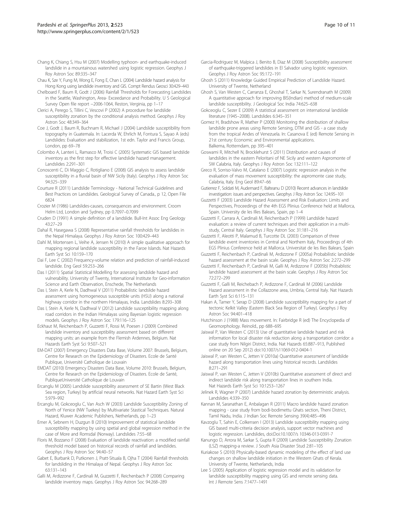- <span id="page-9-0"></span>Chang K, Chiang S, Hsu M (2007) Modelling typhoon- and earthquake-induced landslide in a mountainous watershed using logistic regression. Geophys J Roy Astron Soc 89:335–347
- Chau K, Sze Y, Fung M, Wong E, Fong E, Chan L (2004) Landslide hazard analysis for Hong Kong using landslide inventory and GIS. Compt Rendus Geosci 30:429–443
- Chelboard F, Baum R, Godt J (2006) Rainfall Thresholds for Forecasting Landslides in the Seattle, Washington, Area- Exceedance and Probability. U S Geological Survey Open file report −2006-1064, Reston, Verginia, pp 1–17
- Clerici A, Perego S, Tillini C, Vescovi P (2002) A procedure foe landslide susceptibility zonation by the conditional analysis method. Geophys J Roy Astron Soc 48:349–364
- Coe J, Godt J, Baum R, Buchnam R, Michael J (2004) Landslide susceptibility from topography in Guatemala. In: Lacerda W, Ehrlich M, Fontura S, Sayao A (eds) Landslides: Evaluation and stabilization, 1st edn. Taylor and Francis Group, London, pp 69–78
- Colombo A, Lanteri L, Ramasco M, Troisi C (2005) Systematic GIS based landslide inventory as the first step for effective landslide hazard management. Landslides 2:291–301
- Conoscenti C, Di Maggio C, Rotigliano E (2008) GIS analysis to assess landslide susceptibility in a fluvial basin of NW Sicily (Italy). Geophys J Roy Astron Soc 94:325–339
- Courture R (2011) Landslide Terminology National Technical Guidelines and Best Practices on Landslides. Geological Survey of Canada., p 12, Open File 6824
- Crozier M (1986) Landslides-causes, consequences and environment. Croom Helm Ltd, London and Sydney, pp 0.7097–0.7099
- Cruden D (1991) A simple definition of a landslide. Bull-Int Assoc Eng Geology 43:27–29
- Dahal R, Hasegawa S (2008) Representative rainfall thresholds for landslides in the Nepal Himalaya. Geophys J Roy Astron Soc 100:429–443
- Dahl M, Mortensen L, Veihe A, Jensen N (2010) A simple qualitative approach for mapping regional landslide susceptibility in the Faroe Islands. Nat Hazards Earth Syst Sci 10:159–170
- Dai F, Lee C (2002) Frequency-volume relation and prediction of rainfall-induced landslide. Eng Geol 59:253–266
- Das I (2011) Spatial Statistical Modelling for assessing landslide hazard and vulnerability. University of Twenty, International Institute for Geo-information Science and Earth Observation, Enschede, The Netherlands
- Das I, Stein A, Kerle N, Dadhwal V (2011) Probabilistic landslide hazard assessment using homogeneous susceptible units (HSU) along a national highway corridor in the northern Himalayas, India. Landslides 8:293–308
- Das I, Stein A, Kerle N, Dadhwal V (2012) Landslide susceptibility mapping along road corridors in the Indian Himalayas using Bayesian logistic regression models. Geophys J Roy Astron Soc 179:116–125
- Eckhaut M, Reichenbach P, Guzzetti F, Rossi M, Poesen J (2009) Combined landslide inventory and susceptibility assessment based on different mapping units: an example from the Flemish Ardennes, Belgium. Nat Hazards Earth Syst Sci 9:507–521
- EM-DAT (2007) Emergency Disasters Data Base, Volume 2007: Brussels, Belgium, Centre for Research on the Epidemiology of Disasters. Ecole de Santé Publique, Université Catholique de Louvain
- EMDAT (2010) Emergency Disasters Data Base, Volume 2010: Brussels, Belgium, Centre for Research on the Epidemiology of Disasters. Ecole de Santé, PubliqueUniversité Catholique de Louvain
- Ercanglu M (2005) Landslide susceptibility assessment of SE Bartin (West Black Sea region, Turkey) by artificial neural networks. Nat Hazard Earth Syst Sci 5:979–992
- Ercanglu M, Gokceoglu C, Van Asch W (2003) Landslide Susceptibility Zoning of North of Yenice (NW Tuekey) by Multivariate Stastical Techniques. Natural Hazard, Kluwer Academic Publishers, Netherlands, pp 1–23
- Erner A, Sebnem H, Duzgun B (2010) Improvement of statistical landslide susceptibility mapping by using spetial and global regression method in the case of More and Romsdal (Norway). Landslides 7:55–68
- Floris M, Bozzano F (2008) Evaluation of landslide reactivation: a modified rainfall threshold model based on historical records of rainfall and landslides. Geophys J Roy Astron Soc 94:40–57
- Gabet E, Burbank D, Putkonen J, Pratt-Situala B, Ojha T (2004) Rainfall thresholds for landsliding in the Himalaya of Nepal. Geophys J Roy Astron Soc 63:131–143
- Galli M, Ardizzone F, Cardinali M, Guzzetti F, Reichenbach P (2008) Comparing landslide inventory maps. Geophys J Roy Astron Soc 94:268–289
- Garcia-Rodriguez M, Malpica J, Benito B, Diaz M (2008) Susceptibility assessment of earthquake-triggered landslides in El Salvador using logistic regression. Geophys J Roy Astron Soc 95:172–191
- Ghosh S (2011) Knowledge Guided Empirical Prediction of Landslide Hazard. University of Twente, Netherland
- Ghosh S, Van Westen C, Carranza E, Ghoshal T, Sarkar N, Surendranath M (2009) A quantitative approach for improving BIS(Indian) method of medium-scale landslide susceptibility. J Geological Soc India 74:625–638
- Gokceoglu C, Sezer E (2009) A statistical assessment on international landslide literature (1945–2008). Landslides 6:345–351
- Gomez H, Bradshow R, Mather P (2000) Monitoring the distribution of shallow landslide prone areas using Remote Sensing, DTM and GIS - a case study from the tropical Andes of Venezuela. In: Casanova E (ed) Remote Sensing in 21st century: Economic and Environmental applications. Balkema, Rotterndam, pp 395–401
- Goswami R, Mitchell N, Brocklehurst S (2011) Distribution and causes of landslides in the eastern Peloritani of NE Sicily and western Aspromonte of SW Calabria, Italy. Geophys J Roy Astron Soc 132:111–122
- Greco R, Sorriso-Valvo M, Catalano E (2007) Logistic regression analysis in the evaluation of mass movement susceptibility: the aspromonte case study, Calabria, Italy. Eng Geol 89:47–66
- Gutierrez F, Soldati M, Audemard F, Balteanu D (2010) Recent advances in landslide investigation: issues and perspectives. Geophys J Roy Astron Soc 124:95–101
- Guzzetti F (2003) Landslide Hazard Assessment and Risk Evaluation: Limits and Perspectives, Proceedings of the 4th EGS Plinius Conference held at Mallorca, Spain. University de les Illes Balears, Spain, pp 1–4
- Guzzetti F, Carrara A, Cardinali M, Reichenbach P (1999) Landslide hazard evaluation: a review of current techniques and their application in a multistudy, Central Italy. Geophys J Roy Astron Soc 31:181–216
- Guzzetti F, Aleotti P, Malamud B, Turcotte DL (2003) Comparison of three landslide event inventories in Central and Northern Italy, Proceedings of 4th EGS Plinius Conference held at Mallorca. Universitat de les Ilies Balears, Spain
- Guzzetti F, Reichenbach P, Cardinali M, Ardizzone F (2005a) Probabilistic landslide hazard assessment at the basin scale. Geophys J Roy Astron Soc 2:272–299
- Guzzetti F, Reichenbach P, Cardinali M, Galli M, Ardizzone F (2005b) Probablistic landslide hazard assessment at the basin scale. Geophys J Roy Astron Soc 72:272–299
- Guzzetti F, Galli M, Reichebach P, Ardizzone F, Cardinali M (2006) Landslide Hazard assessment in the Collazzone area, Umbria, Central Italy. Nat Hazards Earth Syst Sci 6:115–131
- Hakan A, Tamer Y, Serap D (2008) Landslide susceptibility mapping for a part of tectonic Kelkit Valley (Eastern Black Sea Region of Turkey). Geophys J Roy Astron Soc 94:401–418
- Hutchinson J (1988) Mass movement. In: Fairbridge R (ed) The Encyclopedia of Geomorphology. Reinold., pp 688–695
- Jaiswal P, Van Westen C (2013) Use of quantitative landslide hazard and risk information for local disaster risk reduction along a transportation corridor: a case study from Nilgiri District, India. Nat Hazards 65:887–913, Published online on 20 Sep 2012) doi:10.1007/s11069-012-0404-1
- Jaiswal P, van Westen C, Jetten V (2010a) Quantitative assessment of landslide hazard along transportation lines using historical records. Landslides 8:271–291
- Jaiswal P, van Westen C, Jetten V (2010b) Quantitative assessment of direct and indirect landslide risk along transportation lines in southern India. Nat Hazards Earth Syst Sci 10:1253–1267
- Jelinek R, Wagner P (2007) Landslide hazard zonation by deterministic analysis. Landslides 4:339–350
- Kannan M, Saranathan E, Anbalagan R (2011) Macro landslide hazard zonation mapping - case study from bodi-bodimettu Ghats section, Theni District, Tamil Nadu, India. J Indian Soc Remote Sensing 39(4):485–496
- Kavzoglu T, Sahin E, Colkensen I (2013) Landslide susceptibility mapping using GIS based multi-criteria decision analysis, support vector machines and logistic regression. Landslides, doi:Doi:10.1007/s 10346-013-0391-7
- Kanungo D, Arrora M, Sarkar S, Gupta R (2009) Landslide Susceptibility Zonation (LSZ) mapping-a review. J South Asia Disaster Stud 2:81–105
- Kuriakose S (2010) Physically-based dynamic modeling of the effect of land use changes on shallow landslide initiation in the Western Ghats of Kerala. University of Twente, Netherlands, India
- Lee S (2005) Application of logistic regression model and its validation for landslide susceptibility mapping using GIS and remote sensing data. Int J Remote Sens 7:1477–1491